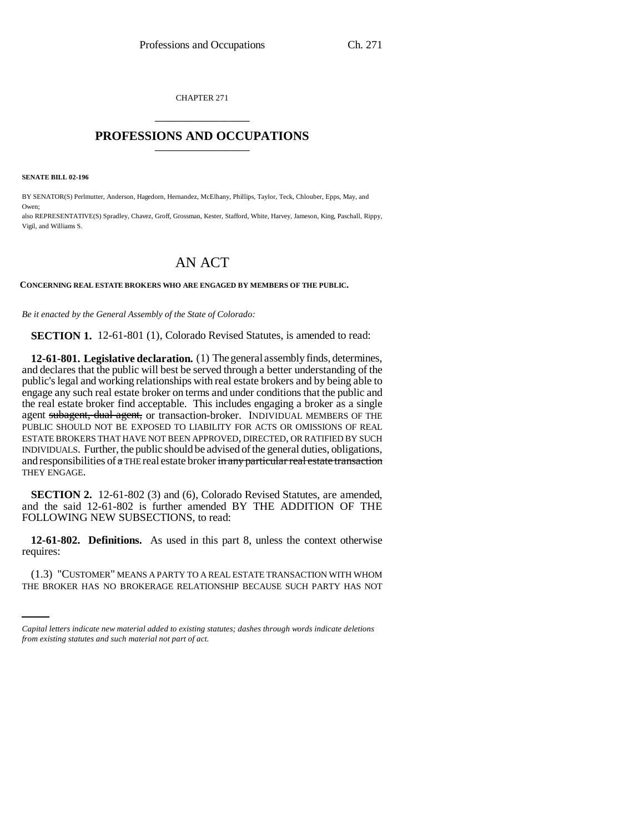CHAPTER 271 \_\_\_\_\_\_\_\_\_\_\_\_\_\_\_

## **PROFESSIONS AND OCCUPATIONS** \_\_\_\_\_\_\_\_\_\_\_\_\_\_\_

**SENATE BILL 02-196**

Owen;

BY SENATOR(S) Perlmutter, Anderson, Hagedorn, Hernandez, McElhany, Phillips, Taylor, Teck, Chlouber, Epps, May, and

also REPRESENTATIVE(S) Spradley, Chavez, Groff, Grossman, Kester, Stafford, White, Harvey, Jameson, King, Paschall, Rippy, Vigil, and Williams S.

## AN ACT

## **CONCERNING REAL ESTATE BROKERS WHO ARE ENGAGED BY MEMBERS OF THE PUBLIC.**

*Be it enacted by the General Assembly of the State of Colorado:*

**SECTION 1.** 12-61-801 (1), Colorado Revised Statutes, is amended to read:

**12-61-801. Legislative declaration.** (1) The general assembly finds, determines, and declares that the public will best be served through a better understanding of the public's legal and working relationships with real estate brokers and by being able to engage any such real estate broker on terms and under conditions that the public and the real estate broker find acceptable. This includes engaging a broker as a single agent subagent, dual agent, or transaction-broker. INDIVIDUAL MEMBERS OF THE PUBLIC SHOULD NOT BE EXPOSED TO LIABILITY FOR ACTS OR OMISSIONS OF REAL ESTATE BROKERS THAT HAVE NOT BEEN APPROVED, DIRECTED, OR RATIFIED BY SUCH INDIVIDUALS. Further, the public should be advised of the general duties, obligations, and responsibilities of  $\alpha$  THE real estate broker in any particular real estate transaction THEY ENGAGE.

**SECTION 2.** 12-61-802 (3) and (6), Colorado Revised Statutes, are amended, and the said 12-61-802 is further amended BY THE ADDITION OF THE FOLLOWING NEW SUBSECTIONS, to read:

 $\mathbf{r}$ **12-61-802. Definitions.** As used in this part 8, unless the context otherwise requires:

(1.3) "CUSTOMER" MEANS A PARTY TO A REAL ESTATE TRANSACTION WITH WHOM THE BROKER HAS NO BROKERAGE RELATIONSHIP BECAUSE SUCH PARTY HAS NOT

*Capital letters indicate new material added to existing statutes; dashes through words indicate deletions from existing statutes and such material not part of act.*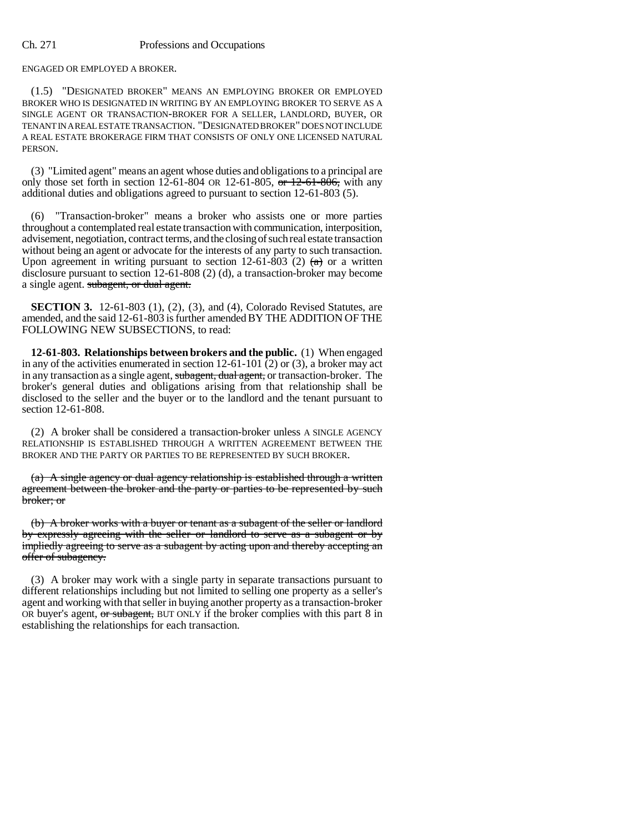ENGAGED OR EMPLOYED A BROKER.

(1.5) "DESIGNATED BROKER" MEANS AN EMPLOYING BROKER OR EMPLOYED BROKER WHO IS DESIGNATED IN WRITING BY AN EMPLOYING BROKER TO SERVE AS A SINGLE AGENT OR TRANSACTION-BROKER FOR A SELLER, LANDLORD, BUYER, OR TENANT IN A REAL ESTATE TRANSACTION. "DESIGNATED BROKER" DOES NOT INCLUDE A REAL ESTATE BROKERAGE FIRM THAT CONSISTS OF ONLY ONE LICENSED NATURAL PERSON.

(3) "Limited agent" means an agent whose duties and obligations to a principal are only those set forth in section 12-61-804 OR 12-61-805, or  $12$ -61-806, with any additional duties and obligations agreed to pursuant to section 12-61-803 (5).

"Transaction-broker" means a broker who assists one or more parties throughout a contemplated real estate transaction with communication, interposition, advisement, negotiation, contract terms, and the closing of such real estate transaction without being an agent or advocate for the interests of any party to such transaction. Upon agreement in writing pursuant to section 12-61-803 (2)  $(a)$  or a written disclosure pursuant to section 12-61-808 (2) (d), a transaction-broker may become a single agent. subagent, or dual agent.

**SECTION 3.** 12-61-803 (1), (2), (3), and (4), Colorado Revised Statutes, are amended, and the said 12-61-803 is further amended BY THE ADDITION OF THE FOLLOWING NEW SUBSECTIONS, to read:

**12-61-803. Relationships between brokers and the public.** (1) When engaged in any of the activities enumerated in section  $12-61-101(2)$  or (3), a broker may act in any transaction as a single agent, subagent, dual agent, or transaction-broker. The broker's general duties and obligations arising from that relationship shall be disclosed to the seller and the buyer or to the landlord and the tenant pursuant to section 12-61-808.

(2) A broker shall be considered a transaction-broker unless A SINGLE AGENCY RELATIONSHIP IS ESTABLISHED THROUGH A WRITTEN AGREEMENT BETWEEN THE BROKER AND THE PARTY OR PARTIES TO BE REPRESENTED BY SUCH BROKER.

(a) A single agency or dual agency relationship is established through a written agreement between the broker and the party or parties to be represented by such broker; or

(b) A broker works with a buyer or tenant as a subagent of the seller or landlord by expressly agreeing with the seller or landlord to serve as a subagent or by impliedly agreeing to serve as a subagent by acting upon and thereby accepting an offer of subagency.

(3) A broker may work with a single party in separate transactions pursuant to different relationships including but not limited to selling one property as a seller's agent and working with that seller in buying another property as a transaction-broker OR buyer's agent, or subagent, BUT ONLY if the broker complies with this part 8 in establishing the relationships for each transaction.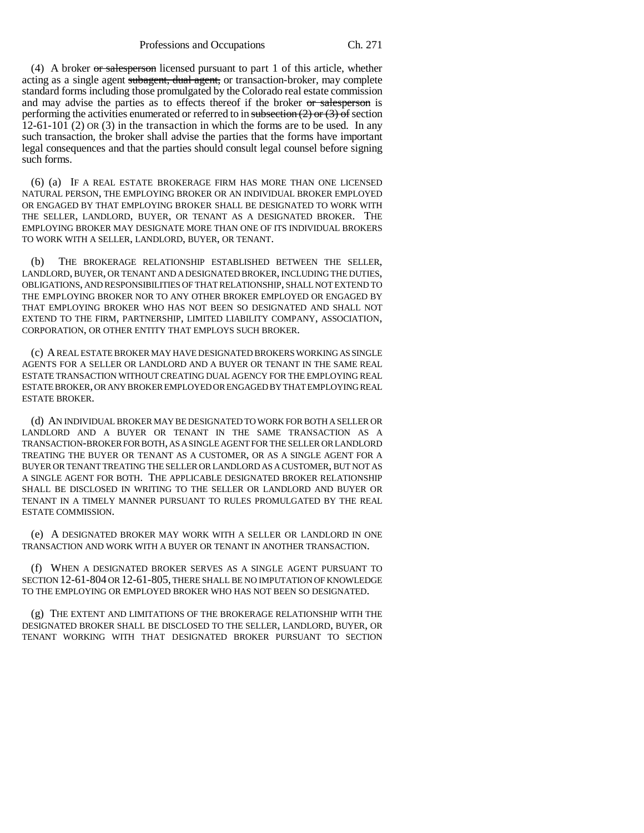(4) A broker  $\sigma$  salesperson licensed pursuant to part 1 of this article, whether acting as a single agent subagent, dual agent, or transaction-broker, may complete standard forms including those promulgated by the Colorado real estate commission and may advise the parties as to effects thereof if the broker or salesperson is performing the activities enumerated or referred to in subsection  $(2)$  or  $(3)$  of section 12-61-101 (2) OR (3) in the transaction in which the forms are to be used. In any such transaction, the broker shall advise the parties that the forms have important legal consequences and that the parties should consult legal counsel before signing such forms.

(6) (a) IF A REAL ESTATE BROKERAGE FIRM HAS MORE THAN ONE LICENSED NATURAL PERSON, THE EMPLOYING BROKER OR AN INDIVIDUAL BROKER EMPLOYED OR ENGAGED BY THAT EMPLOYING BROKER SHALL BE DESIGNATED TO WORK WITH THE SELLER, LANDLORD, BUYER, OR TENANT AS A DESIGNATED BROKER. THE EMPLOYING BROKER MAY DESIGNATE MORE THAN ONE OF ITS INDIVIDUAL BROKERS TO WORK WITH A SELLER, LANDLORD, BUYER, OR TENANT.

(b) THE BROKERAGE RELATIONSHIP ESTABLISHED BETWEEN THE SELLER, LANDLORD, BUYER, OR TENANT AND A DESIGNATED BROKER, INCLUDING THE DUTIES, OBLIGATIONS, AND RESPONSIBILITIES OF THAT RELATIONSHIP, SHALL NOT EXTEND TO THE EMPLOYING BROKER NOR TO ANY OTHER BROKER EMPLOYED OR ENGAGED BY THAT EMPLOYING BROKER WHO HAS NOT BEEN SO DESIGNATED AND SHALL NOT EXTEND TO THE FIRM, PARTNERSHIP, LIMITED LIABILITY COMPANY, ASSOCIATION, CORPORATION, OR OTHER ENTITY THAT EMPLOYS SUCH BROKER.

(c) A REAL ESTATE BROKER MAY HAVE DESIGNATED BROKERS WORKING AS SINGLE AGENTS FOR A SELLER OR LANDLORD AND A BUYER OR TENANT IN THE SAME REAL ESTATE TRANSACTION WITHOUT CREATING DUAL AGENCY FOR THE EMPLOYING REAL ESTATE BROKER, OR ANY BROKER EMPLOYED OR ENGAGED BY THAT EMPLOYING REAL ESTATE BROKER.

(d) AN INDIVIDUAL BROKER MAY BE DESIGNATED TO WORK FOR BOTH A SELLER OR LANDLORD AND A BUYER OR TENANT IN THE SAME TRANSACTION AS A TRANSACTION-BROKER FOR BOTH, AS A SINGLE AGENT FOR THE SELLER OR LANDLORD TREATING THE BUYER OR TENANT AS A CUSTOMER, OR AS A SINGLE AGENT FOR A BUYER OR TENANT TREATING THE SELLER OR LANDLORD AS A CUSTOMER, BUT NOT AS A SINGLE AGENT FOR BOTH. THE APPLICABLE DESIGNATED BROKER RELATIONSHIP SHALL BE DISCLOSED IN WRITING TO THE SELLER OR LANDLORD AND BUYER OR TENANT IN A TIMELY MANNER PURSUANT TO RULES PROMULGATED BY THE REAL ESTATE COMMISSION.

(e) A DESIGNATED BROKER MAY WORK WITH A SELLER OR LANDLORD IN ONE TRANSACTION AND WORK WITH A BUYER OR TENANT IN ANOTHER TRANSACTION.

(f) WHEN A DESIGNATED BROKER SERVES AS A SINGLE AGENT PURSUANT TO SECTION 12-61-804 OR 12-61-805, THERE SHALL BE NO IMPUTATION OF KNOWLEDGE TO THE EMPLOYING OR EMPLOYED BROKER WHO HAS NOT BEEN SO DESIGNATED.

(g) THE EXTENT AND LIMITATIONS OF THE BROKERAGE RELATIONSHIP WITH THE DESIGNATED BROKER SHALL BE DISCLOSED TO THE SELLER, LANDLORD, BUYER, OR TENANT WORKING WITH THAT DESIGNATED BROKER PURSUANT TO SECTION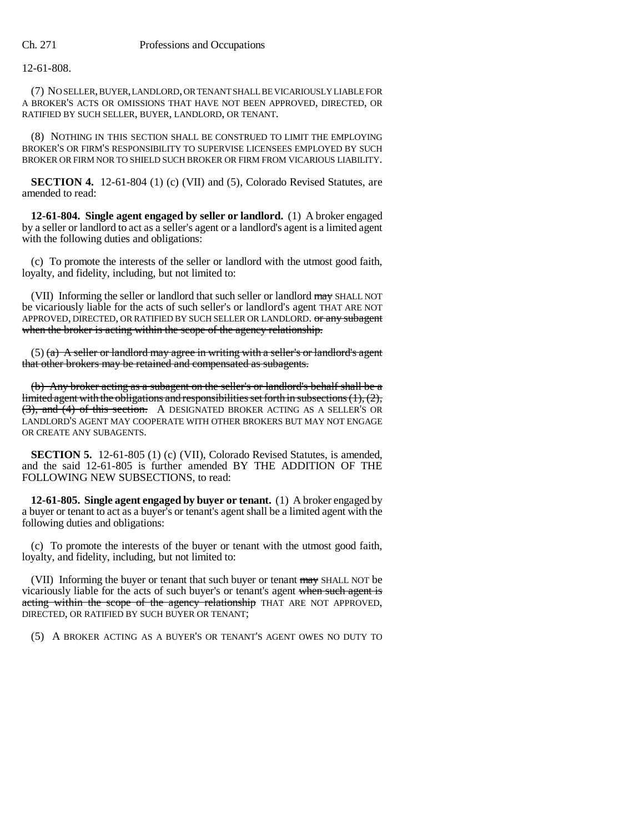12-61-808.

(7) NO SELLER, BUYER, LANDLORD, OR TENANT SHALL BE VICARIOUSLY LIABLE FOR A BROKER'S ACTS OR OMISSIONS THAT HAVE NOT BEEN APPROVED, DIRECTED, OR RATIFIED BY SUCH SELLER, BUYER, LANDLORD, OR TENANT.

(8) NOTHING IN THIS SECTION SHALL BE CONSTRUED TO LIMIT THE EMPLOYING BROKER'S OR FIRM'S RESPONSIBILITY TO SUPERVISE LICENSEES EMPLOYED BY SUCH BROKER OR FIRM NOR TO SHIELD SUCH BROKER OR FIRM FROM VICARIOUS LIABILITY.

**SECTION 4.** 12-61-804 (1) (c) (VII) and (5), Colorado Revised Statutes, are amended to read:

**12-61-804. Single agent engaged by seller or landlord.** (1) A broker engaged by a seller or landlord to act as a seller's agent or a landlord's agent is a limited agent with the following duties and obligations:

(c) To promote the interests of the seller or landlord with the utmost good faith, loyalty, and fidelity, including, but not limited to:

(VII) Informing the seller or landlord that such seller or landlord may SHALL NOT be vicariously liable for the acts of such seller's or landlord's agent THAT ARE NOT APPROVED, DIRECTED, OR RATIFIED BY SUCH SELLER OR LANDLORD. Or any subagent when the broker is acting within the scope of the agency relationship.

 $(5)$  (a) A seller or landlord may agree in writing with a seller's or landlord's agent that other brokers may be retained and compensated as subagents.

(b) Any broker acting as a subagent on the seller's or landlord's behalf shall be a limited agent with the obligations and responsibilities set forth in subsections (1), (2), (3), and (4) of this section. A DESIGNATED BROKER ACTING AS A SELLER'S OR LANDLORD'S AGENT MAY COOPERATE WITH OTHER BROKERS BUT MAY NOT ENGAGE OR CREATE ANY SUBAGENTS.

**SECTION 5.** 12-61-805 (1) (c) (VII), Colorado Revised Statutes, is amended, and the said 12-61-805 is further amended BY THE ADDITION OF THE FOLLOWING NEW SUBSECTIONS, to read:

**12-61-805. Single agent engaged by buyer or tenant.** (1) A broker engaged by a buyer or tenant to act as a buyer's or tenant's agent shall be a limited agent with the following duties and obligations:

(c) To promote the interests of the buyer or tenant with the utmost good faith, loyalty, and fidelity, including, but not limited to:

(VII) Informing the buyer or tenant that such buyer or tenant may SHALL NOT be vicariously liable for the acts of such buyer's or tenant's agent when such agent is acting within the scope of the agency relationship THAT ARE NOT APPROVED, DIRECTED, OR RATIFIED BY SUCH BUYER OR TENANT;

(5) A BROKER ACTING AS A BUYER'S OR TENANT'S AGENT OWES NO DUTY TO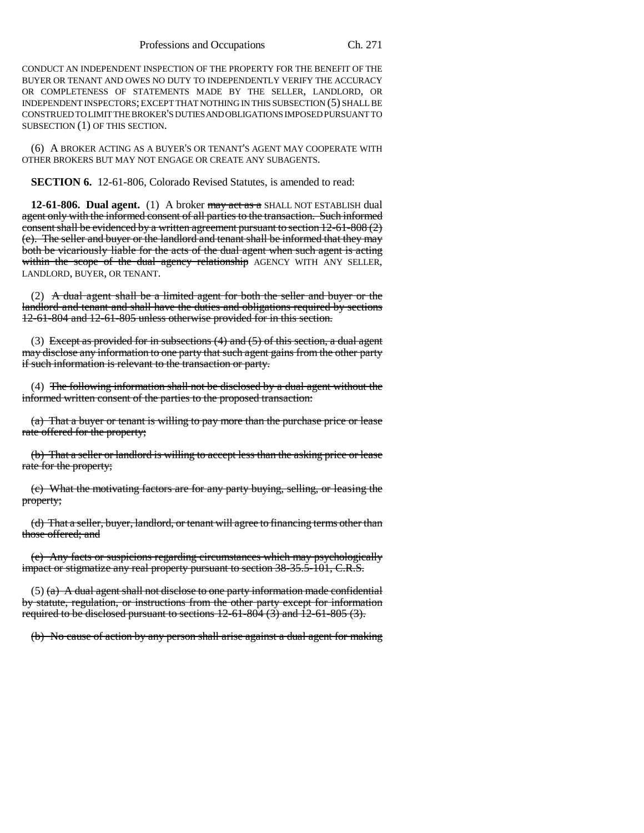CONDUCT AN INDEPENDENT INSPECTION OF THE PROPERTY FOR THE BENEFIT OF THE BUYER OR TENANT AND OWES NO DUTY TO INDEPENDENTLY VERIFY THE ACCURACY OR COMPLETENESS OF STATEMENTS MADE BY THE SELLER, LANDLORD, OR INDEPENDENT INSPECTORS; EXCEPT THAT NOTHING IN THIS SUBSECTION (5) SHALL BE CONSTRUED TO LIMIT THE BROKER'S DUTIES AND OBLIGATIONS IMPOSED PURSUANT TO SUBSECTION (1) OF THIS SECTION.

(6) A BROKER ACTING AS A BUYER'S OR TENANT'S AGENT MAY COOPERATE WITH OTHER BROKERS BUT MAY NOT ENGAGE OR CREATE ANY SUBAGENTS.

**SECTION 6.** 12-61-806, Colorado Revised Statutes, is amended to read:

**12-61-806. Dual agent.** (1) A broker may act as a SHALL NOT ESTABLISH dual agent only with the informed consent of all parties to the transaction. Such informed consent shall be evidenced by a written agreement pursuant to section  $12{\text -}61{\text -}808(2)$ (e). The seller and buyer or the landlord and tenant shall be informed that they may both be vicariously liable for the acts of the dual agent when such agent is acting within the scope of the dual agency relationship AGENCY WITH ANY SELLER, LANDLORD, BUYER, OR TENANT.

(2) A dual agent shall be a limited agent for both the seller and buyer or the landlord and tenant and shall have the duties and obligations required by sections 12-61-804 and 12-61-805 unless otherwise provided for in this section.

(3) Except as provided for in subsections  $(4)$  and  $(5)$  of this section, a dual agent may disclose any information to one party that such agent gains from the other party if such information is relevant to the transaction or party.

(4) The following information shall not be disclosed by a dual agent without the informed written consent of the parties to the proposed transaction:

(a) That a buyer or tenant is willing to pay more than the purchase price or lease rate offered for the property;

(b) That a seller or landlord is willing to accept less than the asking price or lease rate for the property;

(c) What the motivating factors are for any party buying, selling, or leasing the property;

(d) That a seller, buyer, landlord, or tenant will agree to financing terms other than those offered; and

(e) Any facts or suspicions regarding circumstances which may psychologically impact or stigmatize any real property pursuant to section 38-35.5-101, C.R.S.

 $(5)$  (a) A dual agent shall not disclose to one party information made confidential by statute, regulation, or instructions from the other party except for information required to be disclosed pursuant to sections  $12-61-804$  (3) and  $12-61-805$  (3).

(b) No cause of action by any person shall arise against a dual agent for making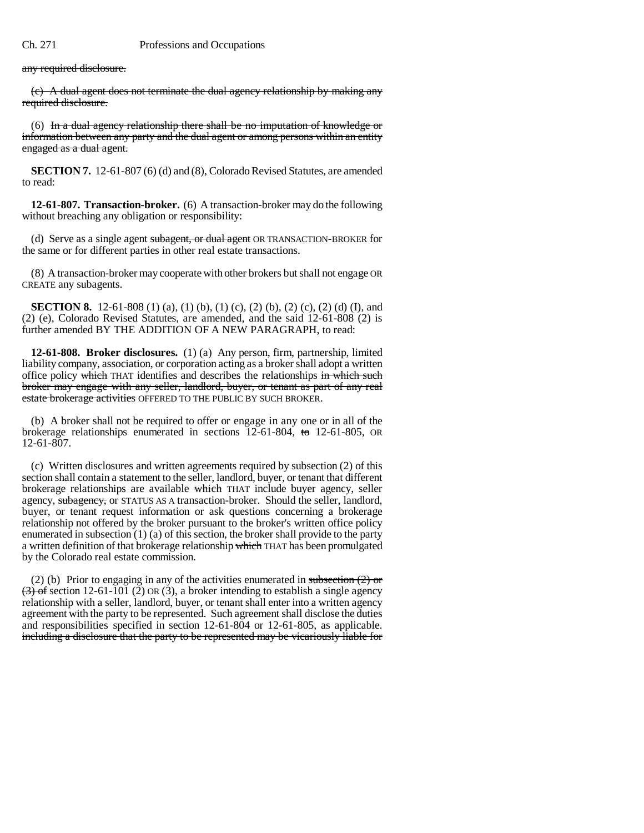any required disclosure.

(c) A dual agent does not terminate the dual agency relationship by making any required disclosure.

(6) In a dual agency relationship there shall be no imputation of knowledge or information between any party and the dual agent or among persons within an entity engaged as a dual agent.

**SECTION 7.** 12-61-807 (6) (d) and (8), Colorado Revised Statutes, are amended to read:

**12-61-807. Transaction-broker.** (6) A transaction-broker may do the following without breaching any obligation or responsibility:

(d) Serve as a single agent subagent, or dual agent OR TRANSACTION-BROKER for the same or for different parties in other real estate transactions.

(8) A transaction-broker may cooperate with other brokers but shall not engage OR CREATE any subagents.

**SECTION 8.** 12-61-808 (1) (a), (1) (b), (1) (c), (2) (b), (2) (c), (2) (d) (I), and (2) (e), Colorado Revised Statutes, are amended, and the said 12-61-808 (2) is further amended BY THE ADDITION OF A NEW PARAGRAPH, to read:

**12-61-808. Broker disclosures.** (1) (a) Any person, firm, partnership, limited liability company, association, or corporation acting as a broker shall adopt a written office policy which THAT identifies and describes the relationships in which such broker may engage with any seller, landlord, buyer, or tenant as part of any real estate brokerage activities OFFERED TO THE PUBLIC BY SUCH BROKER.

(b) A broker shall not be required to offer or engage in any one or in all of the brokerage relationships enumerated in sections 12-61-804, to 12-61-805, OR 12-61-807.

(c) Written disclosures and written agreements required by subsection (2) of this section shall contain a statement to the seller, landlord, buyer, or tenant that different brokerage relationships are available which THAT include buyer agency, seller agency, subagency, or STATUS AS A transaction-broker. Should the seller, landlord, buyer, or tenant request information or ask questions concerning a brokerage relationship not offered by the broker pursuant to the broker's written office policy enumerated in subsection (1) (a) of this section, the broker shall provide to the party a written definition of that brokerage relationship which THAT has been promulgated by the Colorado real estate commission.

(2) (b) Prior to engaging in any of the activities enumerated in subsection  $(2)$  or  $(3)$  of section 12-61-101 (2) OR (3), a broker intending to establish a single agency relationship with a seller, landlord, buyer, or tenant shall enter into a written agency agreement with the party to be represented. Such agreement shall disclose the duties and responsibilities specified in section 12-61-804 or 12-61-805, as applicable. including a disclosure that the party to be represented may be vicariously liable for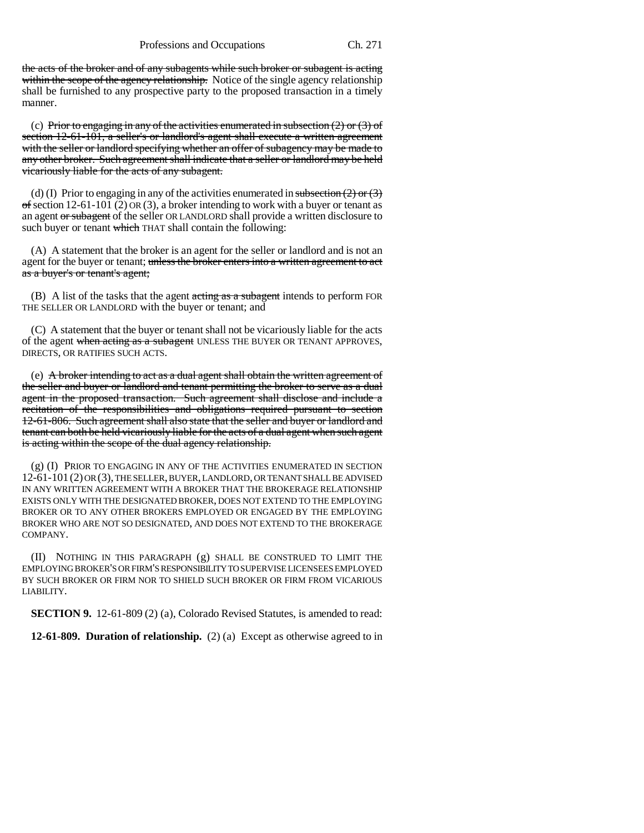the acts of the broker and of any subagents while such broker or subagent is acting within the scope of the agency relationship. Notice of the single agency relationship shall be furnished to any prospective party to the proposed transaction in a timely manner.

(c) Prior to engaging in any of the activities enumerated in subsection  $(2)$  or  $(3)$  of section 12-61-101, a seller's or landlord's agent shall execute a written agreement with the seller or landlord specifying whether an offer of subagency may be made to any other broker. Such agreement shall indicate that a seller or landlord may be held vicariously liable for the acts of any subagent.

(d) (I) Prior to engaging in any of the activities enumerated in subsection  $(2)$  or  $(3)$  $\sigma$ f section 12-61-101 (2) OR (3), a broker intending to work with a buyer or tenant as an agent or subagent of the seller OR LANDLORD shall provide a written disclosure to such buyer or tenant which THAT shall contain the following:

(A) A statement that the broker is an agent for the seller or landlord and is not an agent for the buyer or tenant; unless the broker enters into a written agreement to act as a buyer's or tenant's agent;

 $(B)$  A list of the tasks that the agent acting as a subagent intends to perform FOR THE SELLER OR LANDLORD with the buyer or tenant; and

(C) A statement that the buyer or tenant shall not be vicariously liable for the acts of the agent when acting as a subagent UNLESS THE BUYER OR TENANT APPROVES, DIRECTS, OR RATIFIES SUCH ACTS.

(e) A broker intending to act as a dual agent shall obtain the written agreement of the seller and buyer or landlord and tenant permitting the broker to serve as a dual agent in the proposed transaction. Such agreement shall disclose and include a recitation of the responsibilities and obligations required pursuant to section 12-61-806. Such agreement shall also state that the seller and buyer or landlord and tenant can both be held vicariously liable for the acts of a dual agent when such agent is acting within the scope of the dual agency relationship.

(g) (I) PRIOR TO ENGAGING IN ANY OF THE ACTIVITIES ENUMERATED IN SECTION 12-61-101 (2) OR (3), THE SELLER, BUYER, LANDLORD, OR TENANT SHALL BE ADVISED IN ANY WRITTEN AGREEMENT WITH A BROKER THAT THE BROKERAGE RELATIONSHIP EXISTS ONLY WITH THE DESIGNATED BROKER, DOES NOT EXTEND TO THE EMPLOYING BROKER OR TO ANY OTHER BROKERS EMPLOYED OR ENGAGED BY THE EMPLOYING BROKER WHO ARE NOT SO DESIGNATED, AND DOES NOT EXTEND TO THE BROKERAGE COMPANY.

(II) NOTHING IN THIS PARAGRAPH (g) SHALL BE CONSTRUED TO LIMIT THE EMPLOYING BROKER'S OR FIRM'S RESPONSIBILITY TO SUPERVISE LICENSEES EMPLOYED BY SUCH BROKER OR FIRM NOR TO SHIELD SUCH BROKER OR FIRM FROM VICARIOUS LIABILITY.

**SECTION 9.** 12-61-809 (2) (a), Colorado Revised Statutes, is amended to read:

**12-61-809. Duration of relationship.** (2) (a) Except as otherwise agreed to in